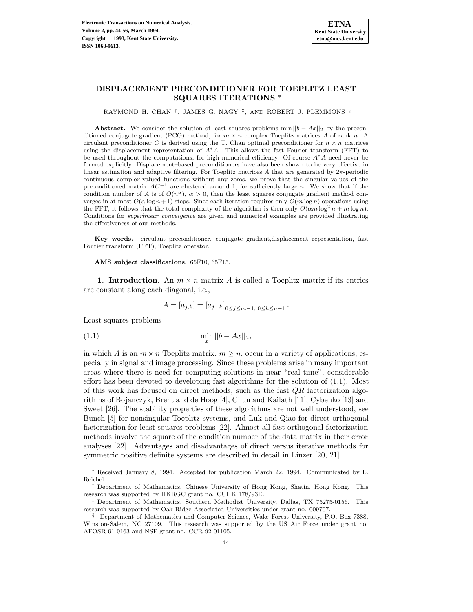# **DISPLACEMENT PRECONDITIONER FOR TOEPLITZ LEAST SQUARES ITERATIONS** <sup>∗</sup>

RAYMOND H. CHAN †, JAMES G. NAGY ‡, AND ROBERT J. PLEMMONS §

**Abstract.** We consider the solution of least squares problems min  $||b - Ax||_2$  by the preconditioned conjugate gradient (PCG) method, for  $m \times n$  complex Toeplitz matrices A of rank n. A circulant preconditioner C is derived using the T. Chan optimal preconditioner for  $n \times n$  matrices using the displacement representation of  $A^*A$ . This allows the fast Fourier transform (FFT) to be used throughout the computations, for high numerical efficiency. Of course  $A^*A$  need never be formed explicitly. Displacement–based preconditioners have also been shown to be very effective in linear estimation and adaptive filtering. For Toeplitz matrices A that are generated by  $2\pi$ -periodic continuous complex-valued functions without any zeros, we prove that the singular values of the preconditioned matrix  $AC^{-1}$  are clustered around 1, for sufficiently large n. We show that if the condition number of A is of  $O(n^{\alpha})$ ,  $\alpha > 0$ , then the least squares conjugate gradient method converges in at most  $O(\alpha \log n + 1)$  steps. Since each iteration requires only  $O(m \log n)$  operations using the FFT, it follows that the total complexity of the algorithm is then only  $O(\alpha m \log^2 n + m \log n)$ . Conditions for superlinear convergence are given and numerical examples are provided illustrating the effectiveness of our methods.

**Key words.** circulant preconditioner, conjugate gradient,displacement representation, fast Fourier transform (FFT), Toeplitz operator.

**AMS subject classifications.** 65F10, 65F15.

**1. Introduction.** An  $m \times n$  matrix A is called a Toeplitz matrix if its entries are constant along each diagonal, i.e.,

$$
A = [a_{j,k}] = [a_{j-k}]_{0 \le j \le m-1, 0 \le k \le n-1}.
$$

Least squares problems

(1.1) 
$$
\min_{x} ||b - Ax||_2,
$$

in which A is an  $m \times n$  Toeplitz matrix,  $m \geq n$ , occur in a variety of applications, especially in signal and image processing. Since these problems arise in many important areas where there is need for computing solutions in near "real time", considerable effort has been devoted to developing fast algorithms for the solution of (1.1). Most of this work has focused on direct methods, such as the fast QR factorization algorithms of Bojanczyk, Brent and de Hoog [4], Chun and Kailath [11], Cybenko [13] and Sweet [26]. The stability properties of these algorithms are not well understood, see Bunch [5] for nonsingular Toeplitz systems, and Luk and Qiao for direct orthogonal factorization for least squares problems [22]. Almost all fast orthogonal factorization methods involve the square of the condition number of the data matrix in their error analyses [22]. Advantages and disadvantages of direct versus iterative methods for symmetric positive definite systems are described in detail in Linzer [20, 21].

Received January 8, 1994. Accepted for publication March 22, 1994. Communicated by L. Reichel.

<sup>†</sup> Department of Mathematics, Chinese University of Hong Kong, Shatin, Hong Kong. This research was supported by HKRGC grant no. CUHK 178/93E.

<sup>‡</sup> Department of Mathematics, Southern Methodist University, Dallas, TX 75275-0156. This research was supported by Oak Ridge Associated Universities under grant no. 009707.

<sup>§</sup> Department of Mathematics and Computer Science, Wake Forest University, P.O. Box 7388, Winston-Salem, NC 27109. This research was supported by the US Air Force under grant no. AFOSR-91-0163 and NSF grant no. CCR-92-01105.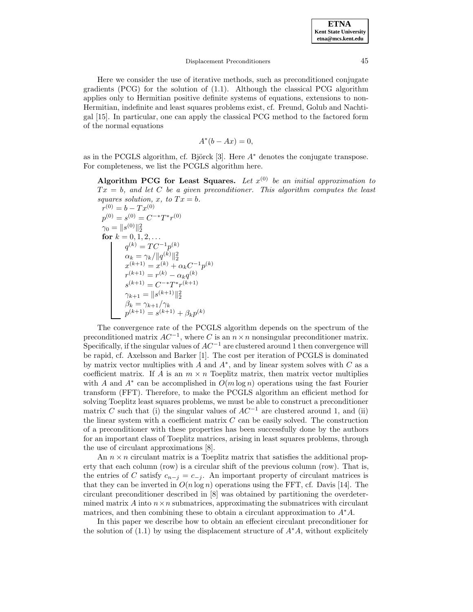Here we consider the use of iterative methods, such as preconditioned conjugate gradients (PCG) for the solution of (1.1). Although the classical PCG algorithm applies only to Hermitian positive definite systems of equations, extensions to non-Hermitian, indefinite and least squares problems exist, cf. Freund, Golub and Nachtigal [15]. In particular, one can apply the classical PCG method to the factored form of the normal equations

$$
A^*(b - Ax) = 0,
$$

as in the PCGLS algorithm, cf. Björck [3]. Here  $A^*$  denotes the conjugate transpose. For completeness, we list the PCGLS algorithm here.

**Algorithm PCG for Least Squares.** Let  $x^{(0)}$  be an initial approximation to  $Tx = b$ , and let C be a given preconditioner. This algorithm computes the least squares solution, x, to  $Tx = b$ .

$$
r^{(0)} = b - Tx^{(0)}
$$
  
\n
$$
p^{(0)} = s^{(0)} = C^{-*}T^*r^{(0)}
$$
  
\n
$$
\gamma_0 = ||s^{(0)}||_2^2
$$
  
\n**for**  $k = 0, 1, 2, ...$   
\n
$$
q^{(k)} = TC^{-1}p^{(k)}
$$
  
\n
$$
\alpha_k = \gamma_k/||q^{(k)}||_2^2
$$
  
\n
$$
x^{(k+1)} = x^{(k)} + \alpha_k C^{-1}p^{(k)}
$$
  
\n
$$
r^{(k+1)} = r^{(k)} - \alpha_k q^{(k)}
$$
  
\n
$$
s^{(k+1)} = C^{-*}T^*r^{(k+1)}
$$
  
\n
$$
\gamma_{k+1} = ||s^{(k+1)}||_2^2
$$
  
\n
$$
\beta_k = \gamma_{k+1}/\gamma_k
$$
  
\n
$$
p^{(k+1)} = s^{(k+1)} + \beta_k p^{(k)}
$$

The convergence rate of the PCGLS algorithm depends on the spectrum of the preconditioned matrix  $AC^{-1}$ , where C is an  $n \times n$  nonsingular preconditioner matrix. Specifically, if the singular values of  $AC^{-1}$  are clustered around 1 then convergence will be rapid, cf. Axelsson and Barker [1]. The cost per iteration of PCGLS is dominated by matrix vector multiplies with A and  $A^*$ , and by linear system solves with C as a coefficient matrix. If A is an  $m \times n$  Toeplitz matrix, then matrix vector multiplies with A and  $A^*$  can be accomplished in  $O(m \log n)$  operations using the fast Fourier transform (FFT). Therefore, to make the PCGLS algorithm an efficient method for solving Toeplitz least squares problems, we must be able to construct a preconditioner matrix C such that (i) the singular values of  $AC^{-1}$  are clustered around 1, and (ii) the linear system with a coefficient matrix  $C$  can be easily solved. The construction of a preconditioner with these properties has been successfully done by the authors for an important class of Toeplitz matrices, arising in least squares problems, through the use of circulant approximations [8].

An  $n \times n$  circulant matrix is a Toeplitz matrix that satisfies the additional property that each column (row) is a circular shift of the previous column (row). That is, the entries of C satisfy  $c_{n-j} = c_{-j}$ . An important property of circulant matrices is that they can be inverted in  $O(n \log n)$  operations using the FFT, cf. Davis [14]. The circulant preconditioner described in [8] was obtained by partitioning the overdetermined matrix A into  $n \times n$  submatrices, approximating the submatrices with circulant matrices, and then combining these to obtain a circulant approximation to  $A^*A$ .

In this paper we describe how to obtain an effecient circulant preconditioner for the solution of (1.1) by using the displacement structure of  $A^*A$ , without explicitely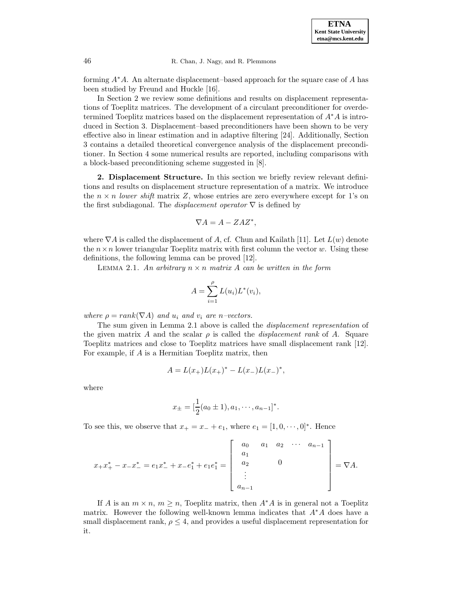forming  $A^*A$ . An alternate displacement–based approach for the square case of A has been studied by Freund and Huckle [16].

In Section 2 we review some definitions and results on displacement representations of Toeplitz matrices. The development of a circulant preconditioner for overdetermined Toeplitz matrices based on the displacement representation of A∗A is introduced in Section 3. Displacement–based preconditioners have been shown to be very effective also in linear estimation and in adaptive filtering [24]. Additionally, Section 3 contains a detailed theoretical convergence analysis of the displacement preconditioner. In Section 4 some numerical results are reported, including comparisons with a block-based preconditioning scheme suggested in [8].

**2. Displacement Structure.** In this section we briefly review relevant definitions and results on displacement structure representation of a matrix. We introduce the  $n \times n$  lower shift matrix Z, whose entries are zero everywhere except for 1's on the first subdiagonal. The *displacement operator*  $\nabla$  is defined by

$$
\nabla A = A - Z A Z^*,
$$

where  $\nabla A$  is called the displacement of A, cf. Chun and Kailath [11]. Let  $L(w)$  denote the  $n \times n$  lower triangular Toeplitz matrix with first column the vector w. Using these definitions, the following lemma can be proved [12].

LEMMA 2.1. An arbitrary  $n \times n$  matrix A can be written in the form

$$
A = \sum_{i=1}^{\rho} L(u_i) L^*(v_i),
$$

where  $\rho = rank(\nabla A)$  and  $u_i$  and  $v_i$  are n-vectors.

The sum given in Lemma 2.1 above is called the displacement representation of the given matrix A and the scalar  $\rho$  is called the *displacement rank* of A. Square Toeplitz matrices and close to Toeplitz matrices have small displacement rank [12]. For example, if A is a Hermitian Toeplitz matrix, then

$$
A = L(x_{+})L(x_{+})^* - L(x_{-})L(x_{-})^*,
$$

where

$$
x_{\pm} = \left[\frac{1}{2}(a_0 \pm 1), a_1, \cdots, a_{n-1}\right]^*.
$$

To see this, we observe that  $x_+ = x_- + e_1$ , where  $e_1 = [1, 0, \dots, 0]^*$ . Hence

$$
x_{+}x_{+}^{*}-x_{-}x_{-}^{*}=e_{1}x_{-}^{*}+x_{-}e_{1}^{*}+e_{1}e_{1}^{*}=\left[\begin{array}{cccc} a_{0} & a_{1} & a_{2} & \cdots & a_{n-1} \\ a_{1} & & & \\ a_{2} & & 0 & \\ \vdots & & \\ a_{n-1} & & \end{array}\right]=\nabla A.
$$

If A is an  $m \times n$ ,  $m \ge n$ , Toeplitz matrix, then  $A^*A$  is in general not a Toeplitz matrix. However the following well-known lemma indicates that  $A^*A$  does have a small displacement rank,  $\rho \leq 4$ , and provides a useful displacement representation for it.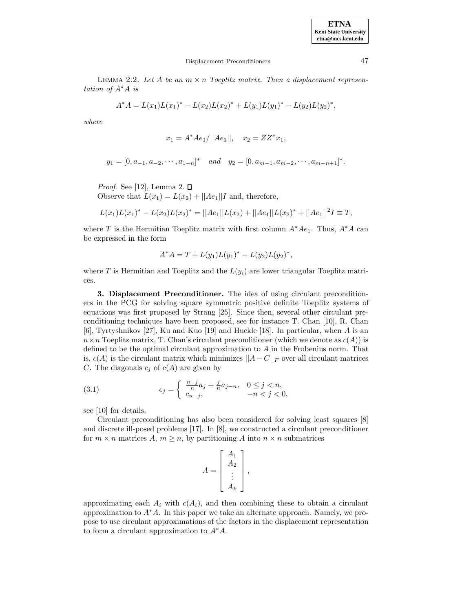LEMMA 2.2. Let A be an  $m \times n$  Toeplitz matrix. Then a displacement representation of  $A^*A$  is

$$
A^*A = L(x_1)L(x_1)^* - L(x_2)L(x_2)^* + L(y_1)L(y_1)^* - L(y_2)L(y_2)^*,
$$

where

$$
x_1 = A^* A e_1 / ||A e_1||, \quad x_2 = Z Z^* x_1,
$$

$$
y_1 = [0, a_{-1}, a_{-2}, \cdots, a_{1-n}]^*
$$
 and  $y_2 = [0, a_{m-1}, a_{m-2}, \cdots, a_{m-n+1}]^*$ .

*Proof.* See [12], Lemma 2.  $\Box$ 

Observe that  $L(x_1) = L(x_2) + ||Ae_1||I$  and, therefore,

$$
L(x_1)L(x_1)^* - L(x_2)L(x_2)^* = ||Ae_1||L(x_2) + ||Ae_1||L(x_2)^* + ||Ae_1||^2I \equiv T,
$$

where T is the Hermitian Toeplitz matrix with first column  $A^*Ae_1$ . Thus,  $A^*A$  can be expressed in the form

$$
A^*A = T + L(y_1)L(y_1)^* - L(y_2)L(y_2)^*,
$$

where T is Hermitian and Toeplitz and the  $L(y_i)$  are lower triangular Toeplitz matrices.

**3. Displacement Preconditioner.** The idea of using circulant preconditioners in the PCG for solving square symmetric positive definite Toeplitz systems of equations was first proposed by Strang [25]. Since then, several other circulant preconditioning techniques have been proposed, see for instance T. Chan [10], R. Chan [6], Tyrtyshnikov [27], Ku and Kuo [19] and Huckle [18]. In particular, when A is an  $n \times n$  Toeplitz matrix, T. Chan's circulant preconditioner (which we denote as  $c(A)$ ) is defined to be the optimal circulant approximation to A in the Frobenius norm. That is,  $c(A)$  is the circulant matrix which minimizes  $||A-C||_F$  over all circulant matrices C. The diagonals  $c_j$  of  $c(A)$  are given by

(3.1) 
$$
c_j = \begin{cases} \frac{n-j}{n}a_j + \frac{j}{n}a_{j-n}, & 0 \le j < n, \\ c_{n-j}, & -n < j < 0, \end{cases}
$$

see [10] for details.

Circulant preconditioning has also been considered for solving least squares [8] and discrete ill-posed problems [17]. In [8], we constructed a circulant preconditioner for  $m \times n$  matrices  $A, m \geq n$ , by partitioning A into  $n \times n$  submatrices

$$
A = \begin{bmatrix} A_1 \\ A_2 \\ \vdots \\ A_k \end{bmatrix},
$$

approximating each  $A_i$  with  $c(A_i)$ , and then combining these to obtain a circulant approximation to A∗A. In this paper we take an alternate approach. Namely, we propose to use circulant approximations of the factors in the displacement representation to form a circulant approximation to  $A^*A$ .

**ETNA Kent State University etna@mcs.kent.edu**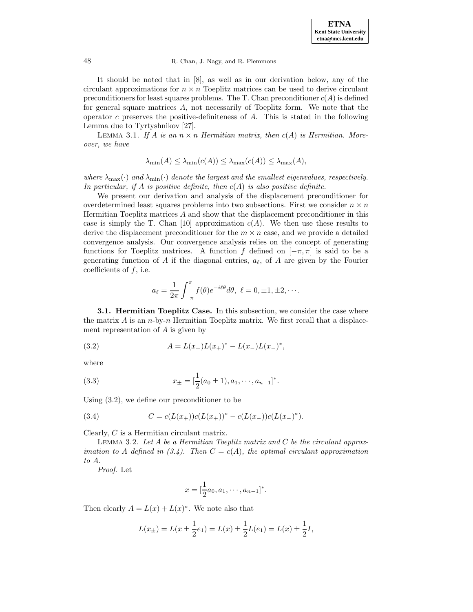It should be noted that in [8], as well as in our derivation below, any of the circulant approximations for  $n \times n$  Toeplitz matrices can be used to derive circulant preconditioners for least squares problems. The T. Chan preconditioner  $c(A)$  is defined for general square matrices A, not necessarily of Toeplitz form. We note that the operator  $c$  preserves the positive-definiteness of  $A$ . This is stated in the following Lemma due to Tyrtyshnikov [27].

LEMMA 3.1. If A is an  $n \times n$  Hermitian matrix, then  $c(A)$  is Hermitian. Moreover, we have

$$
\lambda_{\min}(A) \le \lambda_{\min}(c(A)) \le \lambda_{\max}(c(A)) \le \lambda_{\max}(A),
$$

where  $\lambda_{\max}(\cdot)$  and  $\lambda_{\min}(\cdot)$  denote the largest and the smallest eigenvalues, respectively. In particular, if A is positive definite, then  $c(A)$  is also positive definite.

We present our derivation and analysis of the displacement preconditioner for overdetermined least squares problems into two subsections. First we consider  $n \times n$ Hermitian Toeplitz matrices A and show that the displacement preconditioner in this case is simply the T. Chan [10] approximation  $c(A)$ . We then use these results to derive the displacement preconditioner for the  $m \times n$  case, and we provide a detailed convergence analysis. Our convergence analysis relies on the concept of generating functions for Toeplitz matrices. A function f defined on  $[-\pi, \pi]$  is said to be a generating function of A if the diagonal entries,  $a_{\ell}$ , of A are given by the Fourier coefficients of  $f$ , i.e.

$$
a_{\ell} = \frac{1}{2\pi} \int_{-\pi}^{\pi} f(\theta) e^{-i\ell\theta} d\theta, \ \ell = 0, \pm 1, \pm 2, \cdots.
$$

**3.1. Hermitian Toeplitz Case.** In this subsection, we consider the case where the matrix  $A$  is an  $n$ -by- $n$  Hermitian Toeplitz matrix. We first recall that a displacement representation of A is given by

(3.2) 
$$
A = L(x_+)L(x_+)^* - L(x_-)L(x_-)^*,
$$

where

(3.3) 
$$
x_{\pm} = \left[\frac{1}{2}(a_0 \pm 1), a_1, \cdots, a_{n-1}\right]^*.
$$

Using (3.2), we define our preconditioner to be

(3.4) 
$$
C = c(L(x_+))c(L(x_+))^* - c(L(x_-))c(L(x_-)^*).
$$

Clearly, C is a Hermitian circulant matrix.

LEMMA 3.2. Let  $A$  be a Hermitian Toeplitz matrix and  $C$  be the circulant approximation to A defined in  $(3.4)$ . Then  $C = c(A)$ , the optimal circulant approximation to A.

Proof. Let

$$
x = [\frac{1}{2}a_0, a_1, \cdots, a_{n-1}]^*.
$$

Then clearly  $A = L(x) + L(x)^*$ . We note also that

$$
L(x_{\pm}) = L(x \pm \frac{1}{2}e_1) = L(x) \pm \frac{1}{2}L(e_1) = L(x) \pm \frac{1}{2}I,
$$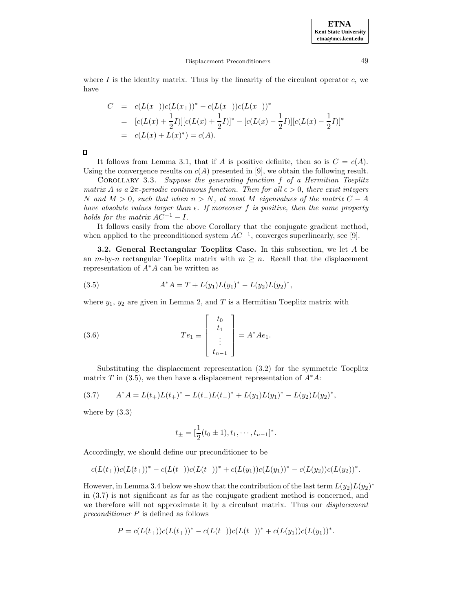where  $I$  is the identity matrix. Thus by the linearity of the circulant operator  $c$ , we have

$$
C = c(L(x+))c(L(x+))^{*} - c(L(x-))c(L(x-))^{*}
$$
  
=  $[c(L(x) + \frac{1}{2}L)][c(L(x) + \frac{1}{2}L)]^{*} - [c(L(x) - \frac{1}{2}L)][c(L(x) - \frac{1}{2}L)]^{*}$   
=  $c(L(x) + L(x)^{*}) = c(A).$ 

 $\Box$ 

It follows from Lemma 3.1, that if A is positive definite, then so is  $C = c(A)$ . Using the convergence results on  $c(A)$  presented in [9], we obtain the following result.

Corollary 3.3. Suppose the generating function f of a Hermitian Toeplitz matrix A is a  $2\pi$ -periodic continuous function. Then for all  $\epsilon > 0$ , there exist integers N and  $M > 0$ , such that when  $n > N$ , at most M eigenvalues of the matrix  $C - A$ have absolute values larger than  $\epsilon$ . If moreover f is positive, then the same property holds for the matrix  $AC^{-1} - I$ .

It follows easily from the above Corollary that the conjugate gradient method, when applied to the preconditioned system  $AC^{-1}$ , converges superlinearly, see [9].

**3.2. General Rectangular Toeplitz Case.** In this subsection, we let A be an  $m$ -by-n rectangular Toeplitz matrix with  $m \geq n$ . Recall that the displacement representation of  $A^*A$  can be written as

(3.5) 
$$
A^*A = T + L(y_1)L(y_1)^* - L(y_2)L(y_2)^*,
$$

where  $y_1, y_2$  are given in Lemma 2, and T is a Hermitian Toeplitz matrix with

(3.6) 
$$
Te_1 \equiv \begin{bmatrix} t_0 \\ t_1 \\ \vdots \\ t_{n-1} \end{bmatrix} = A^* A e_1.
$$

Substituting the displacement representation (3.2) for the symmetric Toeplitz matrix T in (3.5), we then have a displacement representation of  $A^*A$ :

$$
(3.7) \tA^*A = L(t_+)L(t_+)^* - L(t_-)L(t_-)^* + L(y_1)L(y_1)^* - L(y_2)L(y_2)^*,
$$

where by  $(3.3)$ 

$$
t_{\pm} = \left[\frac{1}{2}(t_0 \pm 1), t_1, \cdots, t_{n-1}\right]^*.
$$

Accordingly, we should define our preconditioner to be

$$
c(L(t_{+}))c(L(t_{+}))^{*} - c(L(t_{-}))c(L(t_{-}))^{*} + c(L(y_{1}))c(L(y_{1}))^{*} - c(L(y_{2}))c(L(y_{2}))^{*}.
$$

However, in Lemma 3.4 below we show that the contribution of the last term  $L(y_2)L(y_2)^*$ in (3.7) is not significant as far as the conjugate gradient method is concerned, and we therefore will not approximate it by a circulant matrix. Thus our *displacement* preconditioner P is defined as follows

$$
P = c(L(t_{+}))c(L(t_{+}))^{*} - c(L(t_{-}))c(L(t_{-}))^{*} + c(L(y_{1}))c(L(y_{1}))^{*}.
$$

**ETNA Kent State University etna@mcs.kent.edu**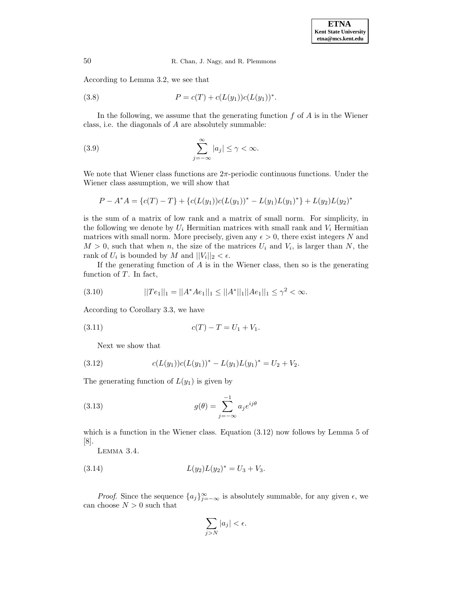According to Lemma 3.2, we see that

(3.8) 
$$
P = c(T) + c(L(y_1))c(L(y_1))^*.
$$

In the following, we assume that the generating function  $f$  of  $A$  is in the Wiener class, i.e. the diagonals of A are absolutely summable:

(3.9) 
$$
\sum_{j=-\infty}^{\infty} |a_j| \leq \gamma < \infty.
$$

We note that Wiener class functions are  $2\pi$ -periodic continuous functions. Under the Wiener class assumption, we will show that

$$
P - A^*A = \{c(T) - T\} + \{c(L(y_1))c(L(y_1))^* - L(y_1)L(y_1)^*\} + L(y_2)L(y_2)^*
$$

is the sum of a matrix of low rank and a matrix of small norm. For simplicity, in the following we denote by  $U_i$  Hermitian matrices with small rank and  $V_i$  Hermitian matrices with small norm. More precisely, given any  $\epsilon > 0$ , there exist integers N and  $M > 0$ , such that when n, the size of the matrices  $U_i$  and  $V_i$ , is larger than N, the rank of  $U_i$  is bounded by M and  $||V_i||_2 < \epsilon$ .

If the generating function of  $A$  is in the Wiener class, then so is the generating function of  $T$ . In fact,

(3.10) 
$$
||Te_1||_1 = ||A^*Ae_1||_1 \le ||A^*||_1||Ae_1||_1 \le \gamma^2 < \infty.
$$

According to Corollary 3.3, we have

$$
(3.11) \t\t c(T) - T = U_1 + V_1.
$$

Next we show that

(3.12) 
$$
c(L(y_1))c(L(y_1))^* - L(y_1)L(y_1)^* = U_2 + V_2.
$$

The generating function of  $L(y_1)$  is given by

(3.13) 
$$
g(\theta) = \sum_{j=-\infty}^{-1} a_j e^{ij\theta}
$$

which is a function in the Wiener class. Equation (3.12) now follows by Lemma 5 of [8].

Lemma 3.4.

(3.14) 
$$
L(y_2)L(y_2)^* = U_3 + V_3.
$$

*Proof.* Since the sequence  $\{a_j\}_{j=-\infty}^{\infty}$  is absolutely summable, for any given  $\epsilon$ , we can choose  $N > 0$  such that

$$
\sum_{j>N}|a_j|<\epsilon.
$$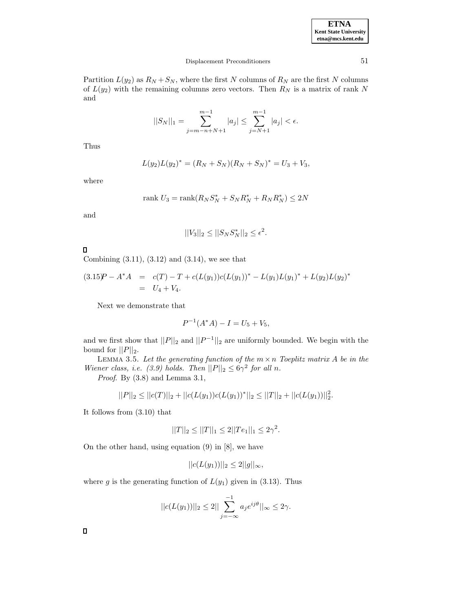| <b>ETNA</b>                  |
|------------------------------|
| <b>Kent State University</b> |
| etna@mcs.kent.edu            |

Partition  $L(y_2)$  as  $R_N + S_N$ , where the first N columns of  $R_N$  are the first N columns of  $L(y_2)$  with the remaining columns zero vectors. Then  $R_N$  is a matrix of rank N and

$$
||S_N||_1 = \sum_{j=m-n+N+1}^{m-1} |a_j| \le \sum_{j=N+1}^{m-1} |a_j| < \epsilon.
$$

Thus

$$
L(y_2)L(y_2)^* = (R_N + S_N)(R_N + S_N)^* = U_3 + V_3,
$$

where

$$
rank U_3 = rank(R_N S_N^* + S_N R_N^* + R_N R_N^*) \le 2N
$$

and

$$
||V_3||_2 \le ||S_N S_N^*||_2 \le \epsilon^2.
$$

# $\Box$

Combining (3.11), (3.12) and (3.14), we see that

$$
(3.15)P - A^*A = c(T) - T + c(L(y_1))c(L(y_1))^* - L(y_1)L(y_1)^* + L(y_2)L(y_2)^* = U_4 + V_4.
$$

Next we demonstrate that

$$
P^{-1}(A^*A) - I = U_5 + V_5,
$$

and we first show that  $||P||_2$  and  $||P^{-1}||_2$  are uniformly bounded. We begin with the bound for  $||P||_2$ .

LEMMA 3.5. Let the generating function of the  $m \times n$  Toeplitz matrix A be in the Wiener class, i.e. (3.9) holds. Then  $||P||_2 \leq 6\gamma^2$  for all n.

Proof. By  $(3.8)$  and Lemma 3.1,

$$
||P||_2 \le ||c(T)||_2 + ||c(L(y_1))c(L(y_1))^*||_2 \le ||T||_2 + ||c(L(y_1))||_2^2.
$$

It follows from (3.10) that

$$
||T||_2 \le ||T||_1 \le 2||Te_1||_1 \le 2\gamma^2.
$$

On the other hand, using equation (9) in [8], we have

$$
||c(L(y_1))||_2 \le 2||g||_{\infty},
$$

where g is the generating function of  $L(y_1)$  given in (3.13). Thus

$$
||c(L(y_1))||_2 \le 2||\sum_{j=-\infty}^{-1} a_j e^{ij\theta}||_{\infty} \le 2\gamma.
$$

 $\Box$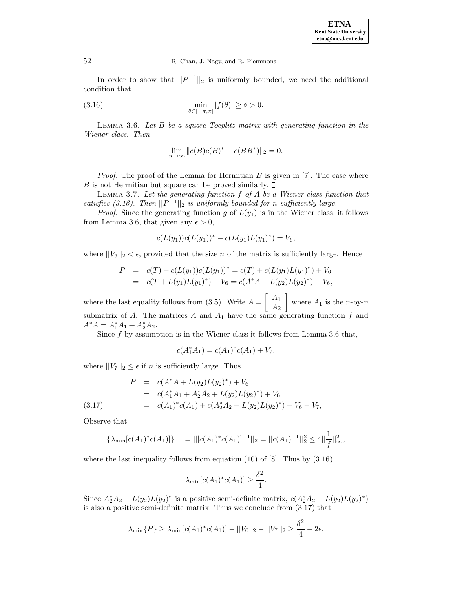In order to show that  $||P^{-1}||_2$  is uniformly bounded, we need the additional condition that

(3.16) 
$$
\min_{\theta \in [-\pi,\pi]} |f(\theta)| \ge \delta > 0.
$$

LEMMA 3.6. Let  $B$  be a square Toeplitz matrix with generating function in the Wiener class. Then

$$
\lim_{n \to \infty} ||c(B)c(B)^* - c(BB^*)||_2 = 0.
$$

*Proof.* The proof of the Lemma for Hermitian  $B$  is given in [7]. The case where B is not Hermitian but square can be proved similarly.  $\square$ 

LEMMA 3.7. Let the generating function  $f$  of  $A$  be a Wiener class function that satisfies (3.16). Then  $||P^{-1}||_2$  is uniformly bounded for n sufficiently large.

*Proof.* Since the generating function g of  $L(y_1)$  is in the Wiener class, it follows from Lemma 3.6, that given any  $\epsilon > 0$ ,

$$
c(L(y_1))c(L(y_1))^* - c(L(y_1)L(y_1)^*) = V_6,
$$

where  $||V_6||_2 < \epsilon$ , provided that the size *n* of the matrix is sufficiently large. Hence

$$
P = c(T) + c(L(y_1))c(L(y_1))^* = c(T) + c(L(y_1)L(y_1)^*) + V_6
$$
  
= c(T + L(y\_1)L(y\_1)^\*) + V\_6 = c(A^\*A + L(y\_2)L(y\_2)^\*) + V\_6,

where the last equality follows from (3.5). Write  $A = \begin{bmatrix} A_1 \\ A_2 \end{bmatrix}$  $A_2$ 1 where  $A_1$  is the *n*-by-*n* submatrix of A. The matrices  $A$  and  $A_1$  have the same generating function  $f$  and  $A^*A = A_1^*A_1 + A_2^*A_2.$ 

Since  $f$  by assumption is in the Wiener class it follows from Lemma 3.6 that,

$$
c(A_1^*A_1) = c(A_1)^*c(A_1) + V_7,
$$

where  $||V_7||_2 \leq \epsilon$  if *n* is sufficiently large. Thus

$$
P = c(A^*A + L(y_2)L(y_2)^*) + V_6
$$
  
=  $c(A_1^*A_1 + A_2^*A_2 + L(y_2)L(y_2)^*) + V_6$   
=  $c(A_1)^*c(A_1) + c(A_2^*A_2 + L(y_2)L(y_2)^*) + V_6 + V_7$ ,

Observe that

$$
\{\lambda_{\min}[c(A_1)^*c(A_1)]\}^{-1} = ||[c(A_1)^*c(A_1)]^{-1}||_2 = ||c(A_1)^{-1}||_2^2 \le 4||\frac{1}{f}||_{\infty}^2,
$$

where the last inequality follows from equation  $(10)$  of  $[8]$ . Thus by  $(3.16)$ ,

$$
\lambda_{\min}[c(A_1)^*c(A_1)] \ge \frac{\delta^2}{4}.
$$

Since  $A_2^*A_2 + L(y_2)L(y_2)^*$  is a positive semi-definite matrix,  $c(A_2^*A_2 + L(y_2)L(y_2)^*)$ is also a positive semi-definite matrix. Thus we conclude from (3.17) that

$$
\lambda_{\min}\{P\} \ge \lambda_{\min}[c(A_1)^*c(A_1)] - ||V_6||_2 - ||V_7||_2 \ge \frac{\delta^2}{4} - 2\epsilon.
$$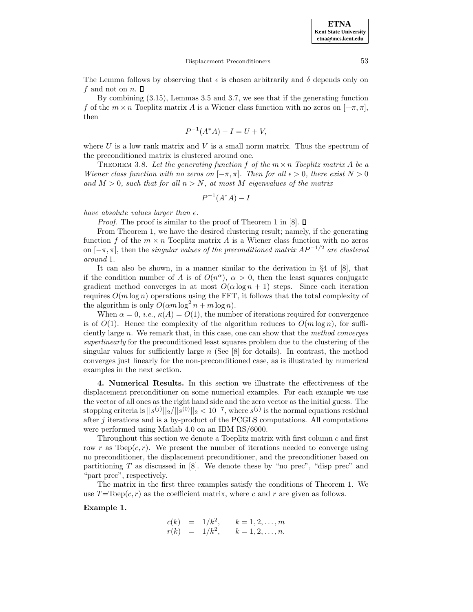The Lemma follows by observing that  $\epsilon$  is chosen arbitrarily and  $\delta$  depends only on f and not on n.  $\square$ 

By combining (3.15), Lemmas 3.5 and 3.7, we see that if the generating function f of the  $m \times n$  Toeplitz matrix A is a Wiener class function with no zeros on  $[-\pi, \pi]$ , then

$$
P^{-1}(A^*A) - I = U + V,
$$

where U is a low rank matrix and V is a small norm matrix. Thus the spectrum of the preconditioned matrix is clustered around one.

THEOREM 3.8. Let the generating function f of the  $m \times n$  Toeplitz matrix A be a Wiener class function with no zeros on  $[-\pi, \pi]$ . Then for all  $\epsilon > 0$ , there exist  $N > 0$ and  $M > 0$ , such that for all  $n > N$ , at most M eigenvalues of the matrix

$$
P^{-1}(A^*A) - I
$$

have absolute values larger than  $\epsilon$ .

*Proof.* The proof is similar to the proof of Theorem 1 in [8].  $\Box$ 

From Theorem 1, we have the desired clustering result; namely, if the generating function f of the  $m \times n$  Toeplitz matrix A is a Wiener class function with no zeros on  $[-\pi,\pi]$ , then the singular values of the preconditioned matrix  $AP^{-1/2}$  are clustered around 1.

It can also be shown, in a manner similar to the derivation in §4 of [8], that if the condition number of A is of  $O(n^{\alpha})$ ,  $\alpha > 0$ , then the least squares conjugate gradient method converges in at most  $O(\alpha \log n + 1)$  steps. Since each iteration requires  $O(m \log n)$  operations using the FFT, it follows that the total complexity of the algorithm is only  $O(\alpha m \log^2 n + m \log n)$ .

When  $\alpha = 0$ , *i.e.*,  $\kappa(A) = O(1)$ , the number of iterations required for convergence is of  $O(1)$ . Hence the complexity of the algorithm reduces to  $O(m \log n)$ , for sufficiently large n. We remark that, in this case, one can show that the method converges superlinearly for the preconditioned least squares problem due to the clustering of the singular values for sufficiently large  $n$  (See [8] for details). In contrast, the method converges just linearly for the non-preconditioned case, as is illustrated by numerical examples in the next section.

**4. Numerical Results.** In this section we illustrate the effectiveness of the displacement preconditioner on some numerical examples. For each example we use the vector of all ones as the right hand side and the zero vector as the initial guess. The stopping criteria is  $||s^{(j)}||_2/||s^{(0)}||_2 < 10^{-7}$ , where  $s^{(j)}$  is the normal equations residual after  $j$  iterations and is a by-product of the PCGLS computations. All computations were performed using Matlab 4.0 on an IBM RS/6000.

Throughout this section we denote a Toeplitz matrix with first column c and first row r as Toep( $c, r$ ). We present the number of iterations needed to converge using no preconditioner, the displacement preconditioner, and the preconditioner based on partitioning  $T$  as discussed in [8]. We denote these by "no prec", "disp prec" and "part prec", respectively.

The matrix in the first three examples satisfy the conditions of Theorem 1. We use  $T=\text{Toep}(c,r)$  as the coefficient matrix, where c and r are given as follows.

## **Example 1.**

$$
c(k) = 1/k2, k = 1, 2, ..., m
$$
  
\n
$$
r(k) = 1/k2, k = 1, 2, ..., n.
$$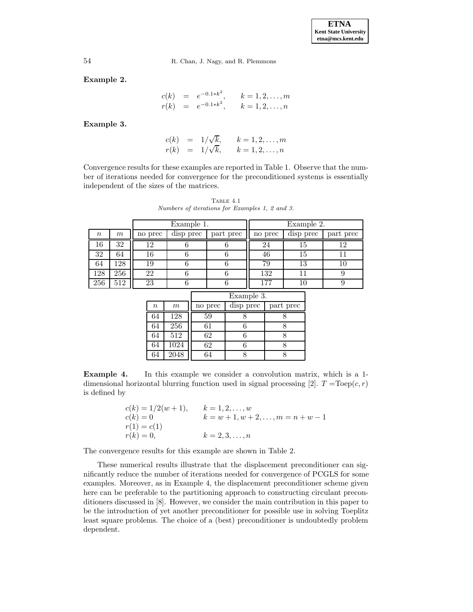**Example 2.**

$$
c(k) = e^{-0.1*k^2}, \t k = 1, 2, ..., m
$$
  
\n
$$
r(k) = e^{-0.1*k^2}, \t k = 1, 2, ..., n
$$

**Example 3.**

$$
c(k) = 1/\sqrt{k}, \qquad k = 1, 2, ..., m
$$
  

$$
r(k) = 1/\sqrt{k}, \qquad k = 1, 2, ..., n
$$

Convergence results for these examples are reported in Table 1. Observe that the number of iterations needed for convergence for the preconditioned systems is essentially independent of the sizes of the matrices.

TABLE  $4.1$ Numbers of iterations for Examples 1, 2 and 3.

|        |     | Example 1. |           |           | Example 2. |           |           |
|--------|-----|------------|-----------|-----------|------------|-----------|-----------|
| $\, n$ | m   | no prec    | disp prec | part prec | no prec    | disp prec | part prec |
| 16     | 32  | 19         |           |           | 24         | 15        | 12        |
| 32     | 64  |            |           |           | 46         | 15        |           |
| 64     | 128 | 19         |           |           | 79         | 13        |           |
| 128    | 256 | 22         |           |           | 132        |           |           |
| 256    | 512 | 23         |           |           | . 77       |           |           |

|          |      | Example 3. |           |           |  |
|----------|------|------------|-----------|-----------|--|
| $\it{n}$ | m    | no prec    | disp prec | part prec |  |
| 64       | 128  | 59         |           |           |  |
| 64       | 256  | 61         |           |           |  |
| 64       | 512  | 62         |           |           |  |
| 64       | 1024 | 62         |           |           |  |
| 64       | 2048 |            |           |           |  |

**Example 4.** In this example we consider a convolution matrix, which is a 1dimensional horizontal blurring function used in signal processing [2].  $T = \text{Toep}(c,r)$ is defined by

| $c(k) = 1/2(w+1),$ | $k = 1, 2, , w$                           |
|--------------------|-------------------------------------------|
| $c(k)=0$           | $k = w + 1, w + 2, \ldots, m = n + w - 1$ |
| $r(1) = c(1)$      |                                           |
| $r(k) = 0,$        | $k=2,3,\ldots,n$                          |

The convergence results for this example are shown in Table 2.

These numerical results illustrate that the displacement preconditioner can significantly reduce the number of iterations needed for convergence of PCGLS for some examples. Moreover, as in Example 4, the displacement preconditioner scheme given here can be preferable to the partitioning approach to constructing circulant preconditioners discussed in [8]. However, we consider the main contribution in this paper to be the introduction of yet another preconditioner for possible use in solving Toeplitz least square problems. The choice of a (best) preconditioner is undoubtedly problem dependent.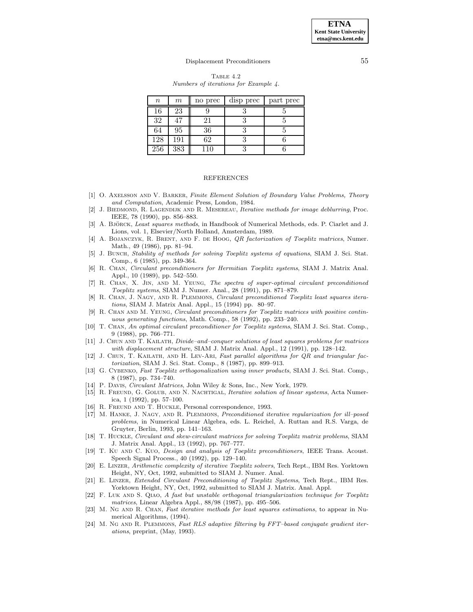**ETNA Kent State University etna@mcs.kent.edu**

#### Displacement Preconditioners 55

TABLE  $4.2$ Numbers of iterations for Example 4.

| $\boldsymbol{n}$ | $\,m$ | no prec | disp prec | part prec |
|------------------|-------|---------|-----------|-----------|
| 16               | 23    |         |           |           |
| 32               | 47    | 21      |           |           |
| 64               | 95    | 36      |           |           |
| 128              | 191   | 62      |           |           |
| 256              | 383   | 10      |           |           |

#### REFERENCES

- [1] O. Axelsson and V. Barker, Finite Element Solution of Boundary Value Problems, Theory and Computation, Academic Press, London, 1984.
- [2] J. BIEDMOND, R. LAGENDIJK AND R. MESEREAU, *Iterative methods for image deblurring*, Proc. IEEE, 78 (1990), pp. 856–883.
- [3] Å. BJÖRCK, Least squares methods, in Handbook of Numerical Methods, eds. P. Ciarlet and J. Lions, vol. 1, Elsevier/North Holland, Amsterdam, 1989.
- [4] A. BOJANCZYK, R. BRENT, AND F. DE HOOG, QR factorization of Toeplitz matrices, Numer. Math., 49 (1986), pp. 81–94.
- [5] J. BUNCH, Stability of methods for solving Toeplitz systems of equations, SIAM J. Sci. Stat. Comp., 6 (1985), pp. 349-364.
- [6] R. Chan, Circulant preconditioners for Hermitian Toeplitz systems, SIAM J. Matrix Anal. Appl., 10 (1989), pp. 542–550.
- [7] R. Chan, X. Jin, and M. Yeung, The spectra of super-optimal circulant preconditioned Toeplitz systems, SIAM J. Numer. Anal., 28 (1991), pp. 871–879.
- [8] R. Chan, J. Nagy, and R. Plemmons, Circulant preconditioned Toeplitz least squares iterations, SIAM J. Matrix Anal. Appl., 15 (1994) pp. 80–97.
- [9] R. Chan and M. Yeung, Circulant preconditioners for Toeplitz matrices with positive continuous generating functions, Math. Comp., 58 (1992), pp. 233–240.
- [10] T. CHAN, An optimal circulant preconditioner for Toeplitz systems, SIAM J. Sci. Stat. Comp., 9 (1988), pp. 766–771.
- [11] J. CHUN AND T. KAILATH, *Divide–and–conquer solutions of least squares problems for matrices* with displacement structure, SIAM J. Matrix Anal. Appl., 12 (1991), pp. 128–142.
- [12] J. CHUN, T. KAILATH, AND H. LEV-ARI, Fast parallel algorithms for QR and triangular factorization, SIAM J. Sci. Stat. Comp., 8 (1987), pp. 899–913.
- [13] G. CYBENKO, Fast Toeplitz orthogonalization using inner products, SIAM J. Sci. Stat. Comp., 8 (1987), pp. 734–740.
- [14] P. Davis, Circulant Matrices, John Wiley & Sons, Inc., New York, 1979.
- [15] R. FREUND, G. GOLUB, AND N. NACHTIGAL, *Iterative solution of linear systems*, Acta Numerica, 1 (1992), pp. 57–100.
- [16] R. FREUND AND T. HUCKLE, Personal correspondence, 1993.
- [17] M. Hanke, J. Nagy, and R. Plemmons, Preconditioned iterative regularization for ill–posed problems, in Numerical Linear Algebra, eds. L. Reichel, A. Ruttan and R.S. Varga, de Gruyter, Berlin, 1993, pp. 141–163.
- [18] T. Huckle, Circulant and skew-circulant matrices for solving Toeplitz matrix problems, SIAM J. Matrix Anal. Appl., 13 (1992), pp. 767–777.
- [19] T. Ku AND C. Kuo, *Design and analysis of Toeplitz preconditioners*, IEEE Trans. Acoust. Speech Signal Process., 40 (1992), pp. 129–140.
- [20] E. Linzer, Arithmetic complexity of iterative Toeplitz solvers, Tech Rept., IBM Res. Yorktown Height, NY, Oct, 1992, submitted to SIAM J. Numer. Anal.
- [21] E. Linzer, Extended Circulant Preconditioning of Toeplitz Systems, Tech Rept., IBM Res. Yorktown Height, NY, Oct, 1992, submitted to SIAM J. Matrix. Anal. Appl.
- [22] F. LUK AND S. QIAO, A fast but unstable orthogonal triangularization technique for Toeplitz matrices, Linear Algebra Appl., 88/98 (1987), pp. 495–506.
- [23] M. NG AND R. CHAN, Fast iterative methods for least squares estimations, to appear in Numerical Algorithms, (1994).
- [24] M. NG AND R. PLEMMONS, Fast RLS adaptive filtering by FFT–based conjugate gradient iterations, preprint, (May, 1993).